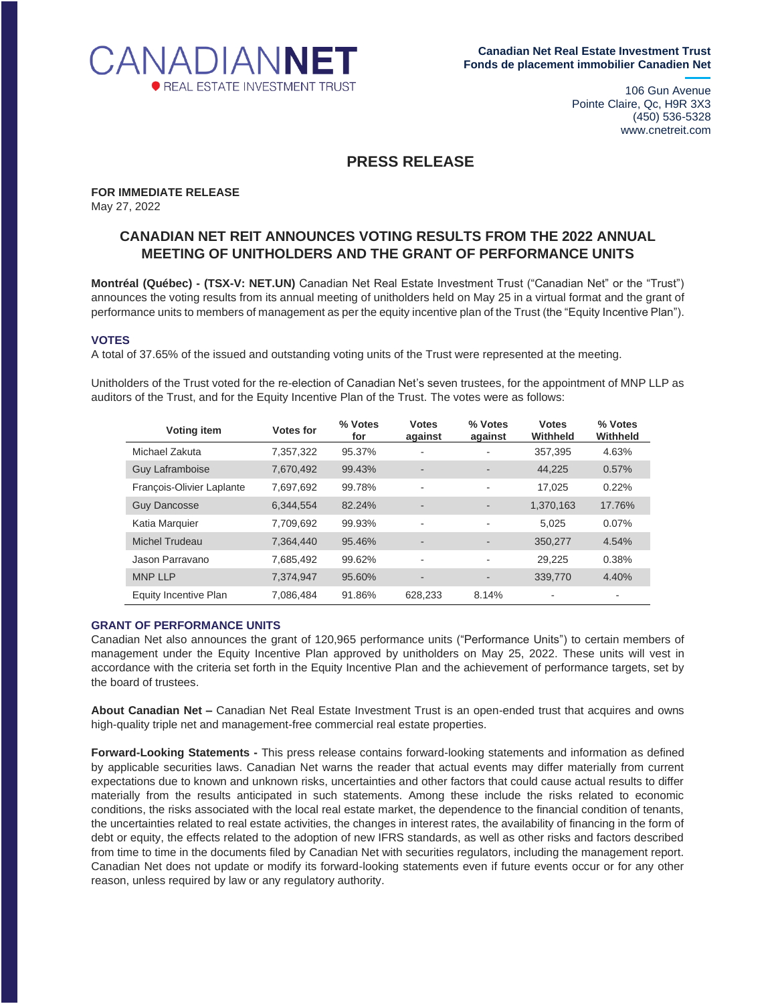

106 Gun Avenue Pointe Claire, Qc, H9R 3X3 (450) 536-5328 www.cnetreit.com

## **PRESS RELEASE**

**FOR IMMEDIATE RELEASE** May 27, 2022

## **CANADIAN NET REIT ANNOUNCES VOTING RESULTS FROM THE 2022 ANNUAL MEETING OF UNITHOLDERS AND THE GRANT OF PERFORMANCE UNITS**

**Montréal (Québec) - (TSX-V: NET.UN)** Canadian Net Real Estate Investment Trust ("Canadian Net" or the "Trust") announces the voting results from its annual meeting of unitholders held on May 25 in a virtual format and the grant of performance units to members of management as per the equity incentive plan of the Trust (the "Equity Incentive Plan").

## **VOTES**

A total of 37.65% of the issued and outstanding voting units of the Trust were represented at the meeting.

Unitholders of the Trust voted for the re-election of Canadian Net's seven trustees, for the appointment of MNP LLP as auditors of the Trust, and for the Equity Incentive Plan of the Trust. The votes were as follows:

| Voting item               | Votes for | % Votes<br>for | <b>Votes</b><br>against  | % Votes<br>against       | <b>Votes</b><br>Withheld | % Votes<br>Withheld |
|---------------------------|-----------|----------------|--------------------------|--------------------------|--------------------------|---------------------|
| Michael Zakuta            | 7,357,322 | 95.37%         |                          | ۰                        | 357,395                  | 4.63%               |
| <b>Guy Laframboise</b>    | 7,670,492 | 99.43%         | -                        | $\overline{\phantom{0}}$ | 44,225                   | 0.57%               |
| François-Olivier Laplante | 7.697.692 | 99.78%         |                          | $\overline{\phantom{a}}$ | 17.025                   | 0.22%               |
| <b>Guy Dancosse</b>       | 6,344,554 | 82.24%         | $\overline{\phantom{0}}$ | $\overline{\phantom{a}}$ | 1,370,163                | 17.76%              |
| Katia Marquier            | 7,709,692 | 99.93%         |                          | $\overline{\phantom{a}}$ | 5.025                    | 0.07%               |
| Michel Trudeau            | 7,364,440 | 95.46%         |                          | $\overline{\phantom{a}}$ | 350,277                  | 4.54%               |
| Jason Parravano           | 7,685,492 | 99.62%         |                          | $\overline{\phantom{a}}$ | 29,225                   | 0.38%               |
| <b>MNP LLP</b>            | 7,374,947 | 95.60%         |                          | $\overline{\phantom{a}}$ | 339,770                  | 4.40%               |
| Equity Incentive Plan     | 7.086.484 | 91.86%         | 628.233                  | 8.14%                    |                          |                     |

## **GRANT OF PERFORMANCE UNITS**

Canadian Net also announces the grant of 120,965 performance units ("Performance Units") to certain members of management under the Equity Incentive Plan approved by unitholders on May 25, 2022. These units will vest in accordance with the criteria set forth in the Equity Incentive Plan and the achievement of performance targets, set by the board of trustees.

**About Canadian Net –** Canadian Net Real Estate Investment Trust is an open-ended trust that acquires and owns high-quality triple net and management-free commercial real estate properties.

**Forward-Looking Statements -** This press release contains forward-looking statements and information as defined by applicable securities laws. Canadian Net warns the reader that actual events may differ materially from current expectations due to known and unknown risks, uncertainties and other factors that could cause actual results to differ materially from the results anticipated in such statements. Among these include the risks related to economic conditions, the risks associated with the local real estate market, the dependence to the financial condition of tenants, the uncertainties related to real estate activities, the changes in interest rates, the availability of financing in the form of debt or equity, the effects related to the adoption of new IFRS standards, as well as other risks and factors described from time to time in the documents filed by Canadian Net with securities regulators, including the management report. Canadian Net does not update or modify its forward-looking statements even if future events occur or for any other reason, unless required by law or any regulatory authority.